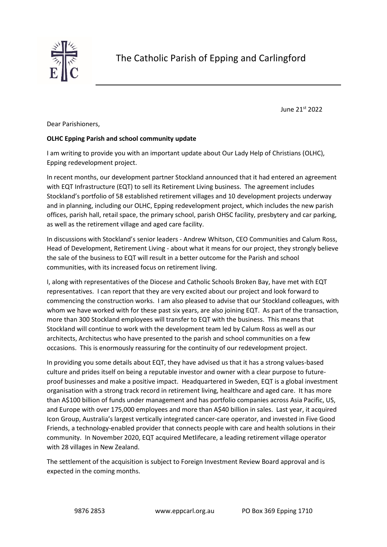

June 21st 2022

Dear Parishioners,

## **OLHC Epping Parish and school community update**

I am writing to provide you with an important update about Our Lady Help of Christians (OLHC), Epping redevelopment project.

In recent months, our development partner Stockland announced that it had entered an agreement with EQT Infrastructure (EQT) to sell its Retirement Living business. The agreement includes Stockland's portfolio of 58 established retirement villages and 10 development projects underway and in planning, including our OLHC, Epping redevelopment project, which includes the new parish offices, parish hall, retail space, the primary school, parish OHSC facility, presbytery and car parking, as well as the retirement village and aged care facility.

In discussions with Stockland's senior leaders - Andrew Whitson, CEO Communities and Calum Ross, Head of Development, Retirement Living - about what it means for our project, they strongly believe the sale of the business to EQT will result in a better outcome for the Parish and school communities, with its increased focus on retirement living.

I, along with representatives of the Diocese and Catholic Schools Broken Bay, have met with EQT representatives. I can report that they are very excited about our project and look forward to commencing the construction works. I am also pleased to advise that our Stockland colleagues, with whom we have worked with for these past six years, are also joining EQT. As part of the transaction, more than 300 Stockland employees will transfer to EQT with the business. This means that Stockland will continue to work with the development team led by Calum Ross as well as our architects, Architectus who have presented to the parish and school communities on a few occasions. This is enormously reassuring for the continuity of our redevelopment project.

In providing you some details about EQT, they have advised us that it has a strong values-based culture and prides itself on being a reputable investor and owner with a clear purpose to futureproof businesses and make a positive impact. Headquartered in Sweden, EQT is a global investment organisation with a strong track record in retirement living, healthcare and aged care. It has more than A\$100 billion of funds under management and has portfolio companies across Asia Pacific, US, and Europe with over 175,000 employees and more than A\$40 billion in sales. Last year, it acquired Icon Group, Australia's largest vertically integrated cancer-care operator, and invested in Five Good Friends, a technology-enabled provider that connects people with care and health solutions in their community. In November 2020, EQT acquired Metlifecare, a leading retirement village operator with 28 villages in New Zealand.

The settlement of the acquisition is subject to Foreign Investment Review Board approval and is expected in the coming months.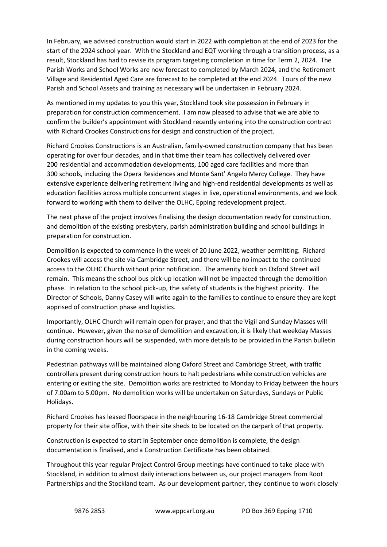In February, we advised construction would start in 2022 with completion at the end of 2023 for the start of the 2024 school year. With the Stockland and EQT working through a transition process, as a result, Stockland has had to revise its program targeting completion in time for Term 2, 2024. The Parish Works and School Works are now forecast to completed by March 2024, and the Retirement Village and Residential Aged Care are forecast to be completed at the end 2024. Tours of the new Parish and School Assets and training as necessary will be undertaken in February 2024.

As mentioned in my updates to you this year, Stockland took site possession in February in preparation for construction commencement. I am now pleased to advise that we are able to confirm the builder's appointment with Stockland recently entering into the construction contract with Richard Crookes Constructions for design and construction of the project.

Richard Crookes Constructions is an Australian, family-owned construction company that has been operating for over four decades, and in that time their team has collectively delivered over 200 residential and accommodation developments, 100 aged care facilities and more than 300 schools, including the Opera Residences and Monte Sant' Angelo Mercy College. They have extensive experience delivering retirement living and high-end residential developments as well as education facilities across multiple concurrent stages in live, operational environments, and we look forward to working with them to deliver the OLHC, Epping redevelopment project.

The next phase of the project involves finalising the design documentation ready for construction, and demolition of the existing presbytery, parish administration building and school buildings in preparation for construction.

Demolition is expected to commence in the week of 20 June 2022, weather permitting. Richard Crookes will access the site via Cambridge Street, and there will be no impact to the continued access to the OLHC Church without prior notification. The amenity block on Oxford Street will remain. This means the school bus pick-up location will not be impacted through the demolition phase. In relation to the school pick-up, the safety of students is the highest priority. The Director of Schools, Danny Casey will write again to the families to continue to ensure they are kept apprised of construction phase and logistics.

Importantly, OLHC Church will remain open for prayer, and that the Vigil and Sunday Masses will continue. However, given the noise of demolition and excavation, it is likely that weekday Masses during construction hours will be suspended, with more details to be provided in the Parish bulletin in the coming weeks.

Pedestrian pathways will be maintained along Oxford Street and Cambridge Street, with traffic controllers present during construction hours to halt pedestrians while construction vehicles are entering or exiting the site. Demolition works are restricted to Monday to Friday between the hours of 7.00am to 5.00pm. No demolition works will be undertaken on Saturdays, Sundays or Public Holidays.

Richard Crookes has leased floorspace in the neighbouring 16-18 Cambridge Street commercial property for their site office, with their site sheds to be located on the carpark of that property.

Construction is expected to start in September once demolition is complete, the design documentation is finalised, and a Construction Certificate has been obtained.

Throughout this year regular Project Control Group meetings have continued to take place with Stockland, in addition to almost daily interactions between us, our project managers from Root Partnerships and the Stockland team. As our development partner, they continue to work closely